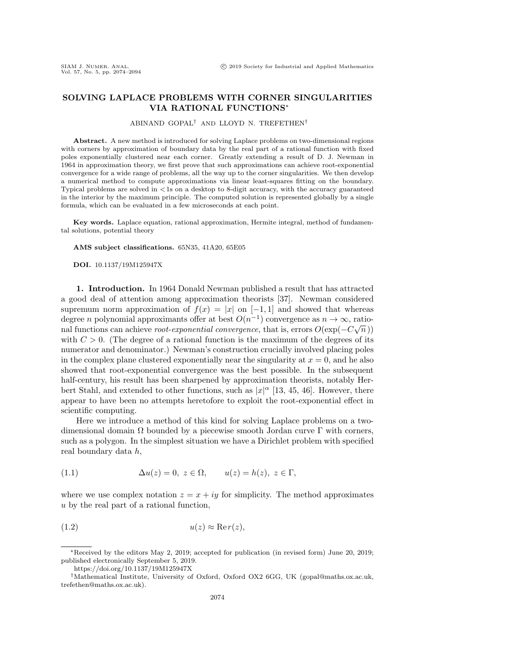## SOLVING LAPLACE PROBLEMS WITH CORNER SINGULARITIES VIA RATIONAL FUNCTIONS<sup>∗</sup>

ABINAND GOPAL† AND LLOYD N. TREFETHEN†

Abstract. A new method is introduced for solving Laplace problems on two-dimensional regions with corners by approximation of boundary data by the real part of a rational function with fixed poles exponentially clustered near each corner. Greatly extending a result of D. J. Newman in 1964 in approximation theory, we first prove that such approximations can achieve root-exponential convergence for a wide range of problems, all the way up to the corner singularities. We then develop a numerical method to compute approximations via linear least-squares fitting on the boundary. Typical problems are solved in <1s on a desktop to 8-digit accuracy, with the accuracy guaranteed in the interior by the maximum principle. The computed solution is represented globally by a single formula, which can be evaluated in a few microseconds at each point.

Key words. Laplace equation, rational approximation, Hermite integral, method of fundamental solutions, potential theory

AMS subject classifications. 65N35, 41A20, 65E05

DOI. 10.1137/19M125947X

1. Introduction. In 1964 Donald Newman published a result that has attracted a good deal of attention among approximation theorists [\[37\]](#page-19-0). Newman considered supremum norm approximation of  $f(x) = |x|$  on  $[-1,1]$  and showed that whereas degree *n* polynomial approximants offer at best  $O(n^{-1})$  convergence as  $n \to \infty$ , rational functions can achieve root-exponential convergence, that is, errors  $O(\exp(-C\sqrt{n}))$ with  $C > 0$ . (The degree of a rational function is the maximum of the degrees of its numerator and denominator.) Newman's construction crucially involved placing poles in the complex plane clustered exponentially near the singularity at  $x = 0$ , and he also showed that root-exponential convergence was the best possible. In the subsequent half-century, his result has been sharpened by approximation theorists, notably Herbert Stahl, and extended to other functions, such as  $|x|^{\alpha}$  [\[13,](#page-19-1) [45,](#page-20-0) [46\]](#page-20-1). However, there appear to have been no attempts heretofore to exploit the root-exponential effect in scientific computing.

Here we introduce a method of this kind for solving Laplace problems on a twodimensional domain  $\Omega$  bounded by a piecewise smooth Jordan curve  $\Gamma$  with corners, such as a polygon. In the simplest situation we have a Dirichlet problem with specified real boundary data h,

<span id="page-0-0"></span>(1.1) 
$$
\Delta u(z) = 0, \ z \in \Omega, \qquad u(z) = h(z), \ z \in \Gamma,
$$

where we use complex notation  $z = x + iy$  for simplicity. The method approximates u by the real part of a rational function,

$$
(1.2) \t\t u(z) \approx \text{Re}\,r(z),
$$

<sup>∗</sup>Received by the editors May 2, 2019; accepted for publication (in revised form) June 20, 2019; published electronically September 5, 2019.

<https://doi.org/10.1137/19M125947X>

<sup>†</sup>Mathematical Institute, University of Oxford, Oxford OX2 6GG, UK [\(gopal@maths.ox.ac.uk,](mailto:gopal@maths.ox.ac.uk) [trefethen@maths.ox.ac.uk\)](mailto:trefethen@maths.ox.ac.uk).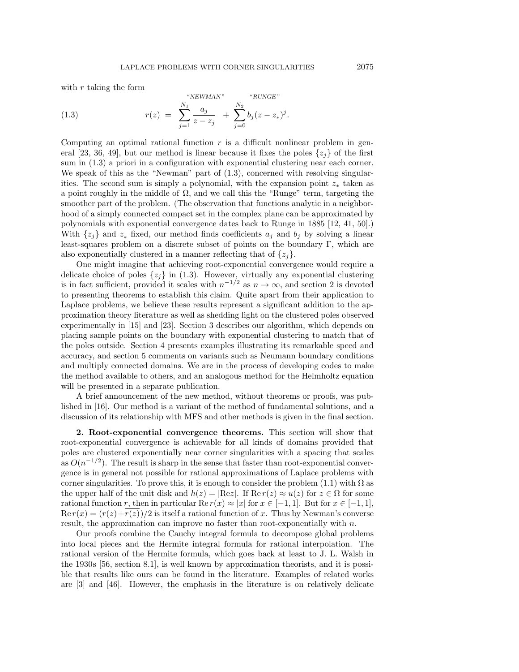<span id="page-1-0"></span> $\mu$  newspapers of a new

with  $r$  taking the form

(1.3) 
$$
r(z) = \sum_{j=1}^{N_1} \frac{a_j}{z - z_j} + \sum_{j=0}^{N_2} b_j (z - z_*)^j.
$$

Computing an optimal rational function  $r$  is a difficult nonlinear problem in gen-eral [\[23,](#page-19-2) [36,](#page-19-3) [49\]](#page-20-2), but our method is linear because it fixes the poles  $\{z_i\}$  of the first sum in [\(1.3\)](#page-1-0) a priori in a configuration with exponential clustering near each corner. We speak of this as the "Newman" part of  $(1.3)$ , concerned with resolving singularities. The second sum is simply a polynomial, with the expansion point  $z_*$  taken as a point roughly in the middle of  $\Omega$ , and we call this the "Runge" term, targeting the smoother part of the problem. (The observation that functions analytic in a neighborhood of a simply connected compact set in the complex plane can be approximated by polynomials with exponential convergence dates back to Runge in 1885 [\[12,](#page-19-4) [41,](#page-20-3) [50\]](#page-20-4).) With  $\{z_i\}$  and  $z_*$  fixed, our method finds coefficients  $a_i$  and  $b_i$  by solving a linear least-squares problem on a discrete subset of points on the boundary  $\Gamma$ , which are also exponentially clustered in a manner reflecting that of  $\{z_i\}$ .

One might imagine that achieving root-exponential convergence would require a delicate choice of poles  $\{z_j\}$  in [\(1.3\)](#page-1-0). However, virtually any exponential clustering is in fact sufficient, provided it scales with  $n^{-1/2}$  as  $n \to \infty$ , and section [2](#page-1-1) is devoted to presenting theorems to establish this claim. Quite apart from their application to Laplace problems, we believe these results represent a significant addition to the approximation theory literature as well as shedding light on the clustered poles observed experimentally in [\[15\]](#page-19-5) and [\[23\]](#page-19-2). Section [3](#page-8-0) describes our algorithm, which depends on placing sample points on the boundary with exponential clustering to match that of the poles outside. Section [4](#page-11-0) presents examples illustrating its remarkable speed and accuracy, and section [5](#page-14-0) comments on variants such as Neumann boundary conditions and multiply connected domains. We are in the process of developing codes to make the method available to others, and an analogous method for the Helmholtz equation will be presented in a separate publication.

A brief announcement of the new method, without theorems or proofs, was published in [\[16\]](#page-19-6). Our method is a variant of the method of fundamental solutions, and a discussion of its relationship with MFS and other methods is given in the final section.

<span id="page-1-1"></span>2. Root-exponential convergence theorems. This section will show that root-exponential convergence is achievable for all kinds of domains provided that poles are clustered exponentially near corner singularities with a spacing that scales as  $O(n^{-1/2})$ . The result is sharp in the sense that faster than root-exponential convergence is in general not possible for rational approximations of Laplace problems with corner singularities. To prove this, it is enough to consider the problem  $(1.1)$  with  $\Omega$  as the upper half of the unit disk and  $h(z) = |\text{Re } z|$ . If  $\text{Re } r(z) \approx u(z)$  for  $z \in \Omega$  for some rational function r, then in particular Re  $r(x) \approx |x|$  for  $x \in [-1, 1]$ . But for  $x \in [-1, 1]$ ,  $\text{Re } r(x) = (r(z) + r(z))/2$  is itself a rational function of x. Thus by Newman's converse result, the approximation can improve no faster than root-exponentially with  $n$ .

Our proofs combine the Cauchy integral formula to decompose global problems into local pieces and the Hermite integral formula for rational interpolation. The rational version of the Hermite formula, which goes back at least to J. L. Walsh in the 1930s [\[56,](#page-20-5) section 8.1], is well known by approximation theorists, and it is possible that results like ours can be found in the literature. Examples of related works are [\[3\]](#page-18-0) and [\[46\]](#page-20-1). However, the emphasis in the literature is on relatively delicate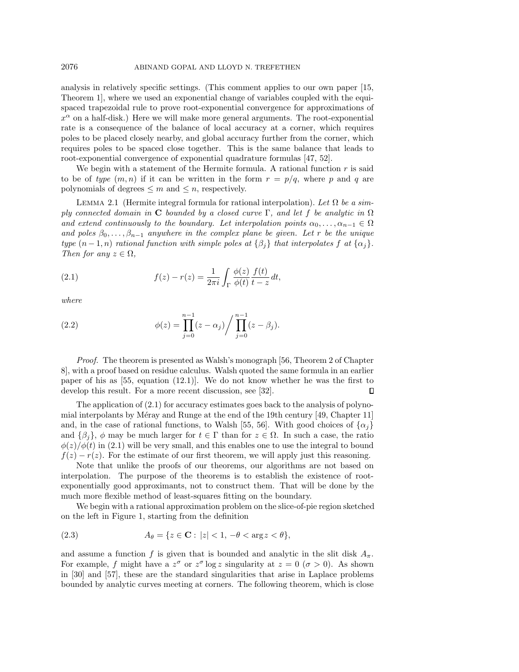analysis in relatively specific settings. (This comment applies to our own paper [\[15,](#page-19-5) Theorem 1], where we used an exponential change of variables coupled with the equispaced trapezoidal rule to prove root-exponential convergence for approximations of  $x^{\alpha}$  on a half-disk.) Here we will make more general arguments. The root-exponential rate is a consequence of the balance of local accuracy at a corner, which requires poles to be placed closely nearby, and global accuracy further from the corner, which requires poles to be spaced close together. This is the same balance that leads to root-exponential convergence of exponential quadrature formulas [\[47,](#page-20-6) [52\]](#page-20-7).

We begin with a statement of the Hermite formula. A rational function  $r$  is said to be of type  $(m, n)$  if it can be written in the form  $r = p/q$ , where p and q are polynomials of degrees  $\leq m$  and  $\leq n$ , respectively.

LEMMA 2.1 (Hermite integral formula for rational interpolation). Let  $\Omega$  be a simply connected domain in C bounded by a closed curve Γ, and let f be analytic in  $\Omega$ and extend continuously to the boundary. Let interpolation points  $\alpha_0, \ldots, \alpha_{n-1} \in \Omega$ and poles  $\beta_0, \ldots, \beta_{n-1}$  anywhere in the complex plane be given. Let r be the unique type  $(n-1,n)$  rational function with simple poles at  $\{\beta_i\}$  that interpolates f at  $\{\alpha_i\}$ . Then for any  $z \in \Omega$ ,

<span id="page-2-0"></span>(2.1) 
$$
f(z) - r(z) = \frac{1}{2\pi i} \int_{\Gamma} \frac{\phi(z)}{\phi(t)} \frac{f(t)}{t - z} dt,
$$

where

<span id="page-2-1"></span>(2.2) 
$$
\phi(z) = \prod_{j=0}^{n-1} (z - \alpha_j) / \prod_{j=0}^{n-1} (z - \beta_j).
$$

Proof. The theorem is presented as Walsh's monograph [\[56,](#page-20-5) Theorem 2 of Chapter 8], with a proof based on residue calculus. Walsh quoted the same formula in an earlier paper of his as [\[55,](#page-20-8) equation (12.1)]. We do not know whether he was the first to develop this result. For a more recent discussion, see [\[32\]](#page-19-7). П

The application of [\(2.1\)](#page-2-0) for accuracy estimates goes back to the analysis of polynomial interpolants by Méray and Runge at the end of the 19th century  $[49,$  Chapter 11] and, in the case of rational functions, to Walsh [\[55,](#page-20-8) [56\]](#page-20-5). With good choices of  $\{\alpha_i\}$ and  $\{\beta_i\}, \phi$  may be much larger for  $t \in \Gamma$  than for  $z \in \Omega$ . In such a case, the ratio  $\phi(z)/\phi(t)$  in [\(2.1\)](#page-2-0) will be very small, and this enables one to use the integral to bound  $f(z) - r(z)$ . For the estimate of our first theorem, we will apply just this reasoning.

Note that unlike the proofs of our theorems, our algorithms are not based on interpolation. The purpose of the theorems is to establish the existence of rootexponentially good approximants, not to construct them. That will be done by the much more flexible method of least-squares fitting on the boundary.

We begin with a rational approximation problem on the slice-of-pie region sketched on the left in Figure [1,](#page-3-0) starting from the definition

(2.3) 
$$
A_{\theta} = \{ z \in \mathbf{C} : |z| < 1, -\theta < \arg z < \theta \},
$$

and assume a function f is given that is bounded and analytic in the slit disk  $A_{\pi}$ . For example, f might have a  $z^{\sigma}$  or  $z^{\sigma} \log z$  singularity at  $z = 0$  ( $\sigma > 0$ ). As shown in [\[30\]](#page-19-8) and [\[57\]](#page-20-9), these are the standard singularities that arise in Laplace problems bounded by analytic curves meeting at corners. The following theorem, which is close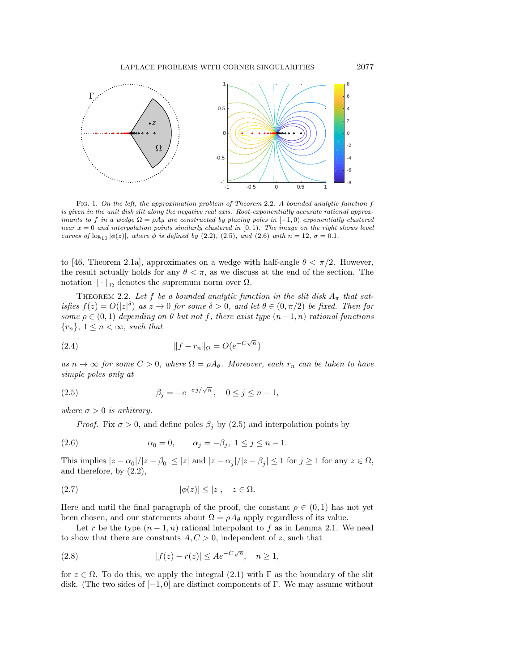<span id="page-3-0"></span>

Fig. 1. On the left, the approximation problem of Theorem [2.2.](#page-3-1) A bounded analytic function f is given in the unit disk slit along the negative real axis. Root-exponentially accurate rational approximants to f in a wedge  $\Omega = \rho A_{\theta}$  are constructed by placing poles in  $[-1,0)$  exponentially clustered near  $x = 0$  and interpolation points similarly clustered in  $[0, 1)$ . The image on the right shows level curves of  $\log_{10} |\phi(z)|$ , where  $\phi$  is defined by [\(2.2\)](#page-2-1), [\(2.5\)](#page-3-2), and [\(2.6\)](#page-3-3) with  $n = 12$ ,  $\sigma = 0.1$ .

to [\[46,](#page-20-1) Theorem 2.1a], approximates on a wedge with half-angle  $\theta < \pi/2$ . However, the result actually holds for any  $\theta < \pi$ , as we discuss at the end of the section. The notation  $\|\cdot\|_{\Omega}$  denotes the supremum norm over  $\Omega$ .

<span id="page-3-1"></span>THEOREM 2.2. Let f be a bounded analytic function in the slit disk  $A_{\pi}$  that satisfies  $f(z) = O(|z|^{\delta})$  as  $z \to 0$  for some  $\delta > 0$ , and let  $\theta \in (0, \pi/2)$  be fixed. Then for some  $\rho \in (0,1)$  depending on  $\theta$  but not f, there exist type  $(n-1,n)$  rational functions  ${r_n}, 1 \leq n < \infty$ , such that

(2.4) 
$$
||f - r_n||_{\Omega} = O(e^{-C\sqrt{n}})
$$

as  $n \to \infty$  for some  $C > 0$ , where  $\Omega = \rho A_{\theta}$ . Moreover, each  $r_n$  can be taken to have simple poles only at

(2.5) 
$$
\beta_j = -e^{-\sigma j/\sqrt{n}}, \quad 0 \le j \le n-1,
$$

where  $\sigma > 0$  is arbitrary.

<span id="page-3-3"></span><span id="page-3-2"></span>*Proof.* Fix  $\sigma > 0$ , and define poles  $\beta_i$  by [\(2.5\)](#page-3-2) and interpolation points by

(2.6) 
$$
\alpha_0 = 0, \qquad \alpha_j = -\beta_j, \ 1 \le j \le n - 1.
$$

This implies  $|z - \alpha_0|/|z - \beta_0| \le |z|$  and  $|z - \alpha_j|/|z - \beta_j| \le 1$  for  $j \ge 1$  for any  $z \in \Omega$ , and therefore, by [\(2.2\)](#page-2-1),

<span id="page-3-4"></span>
$$
|\phi(z)| \le |z|, \quad z \in \Omega.
$$

Here and until the final paragraph of the proof, the constant  $\rho \in (0,1)$  has not yet been chosen, and our statements about  $\Omega = \rho A_{\theta}$  apply regardless of its value.

Let r be the type  $(n-1, n)$  rational interpolant to f as in Lemma [2.1.](#page-2-1) We need to show that there are constants  $A, C > 0$ , independent of z, such that

<span id="page-3-5"></span>(2.8) 
$$
|f(z) - r(z)| \le A e^{-C\sqrt{n}}, \quad n \ge 1,
$$

for  $z \in \Omega$ . To do this, we apply the integral [\(2.1\)](#page-2-0) with  $\Gamma$  as the boundary of the slit disk. (The two sides of  $[-1, 0]$  are distinct components of Γ. We may assume without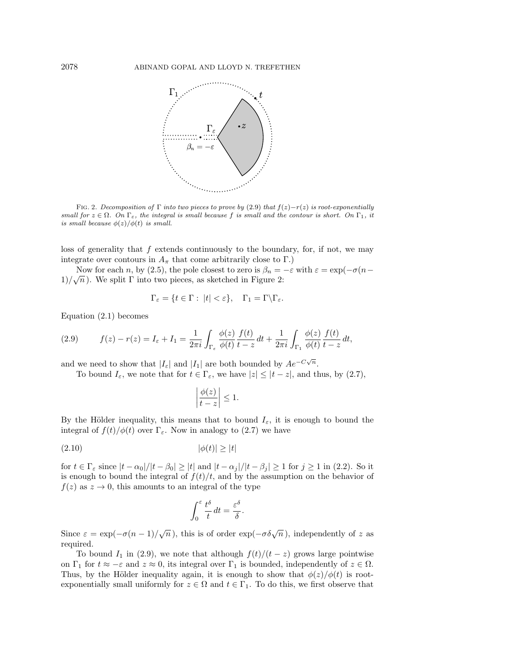

FIG. 2. Decomposition of  $\Gamma$  into two pieces to prove by [\(2.9\)](#page-4-0) that  $f(z)-r(z)$  is root-exponentially small for  $z \in \Omega$ . On  $\Gamma_{\varepsilon}$ , the integral is small because f is small and the contour is short. On  $\Gamma_1$ , it is small because  $\phi(z)/\phi(t)$  is small.

loss of generality that  $f$  extends continuously to the boundary, for, if not, we may integrate over contours in  $A_{\pi}$  that come arbitrarily close to  $\Gamma$ .)

Now for each n, by [\(2.5\)](#page-3-2), the pole closest to zero is  $\beta_n = -\varepsilon$  with  $\varepsilon = \exp(-\sigma(n-\varepsilon))$ .  $1)/\sqrt{n}$ ). We split  $\Gamma$  into two pieces, as sketched in Figure [2:](#page-4-1)

$$
\Gamma_{\varepsilon} = \{ t \in \Gamma : \ |t| < \varepsilon \}, \quad \Gamma_1 = \Gamma \backslash \Gamma_{\varepsilon}.
$$

Equation [\(2.1\)](#page-2-0) becomes

<span id="page-4-0"></span>(2.9) 
$$
f(z) - r(z) = I_{\varepsilon} + I_1 = \frac{1}{2\pi i} \int_{\Gamma_{\varepsilon}} \frac{\phi(z)}{\phi(t)} \frac{f(t)}{t - z} dt + \frac{1}{2\pi i} \int_{\Gamma_1} \frac{\phi(z)}{\phi(t)} \frac{f(t)}{t - z} dt,
$$

and we need to show that  $|I_{\varepsilon}|$  and  $|I_1|$  are both bounded by  $Ae^{-C\sqrt{n}}$ .

To bound  $I_{\varepsilon}$ , we note that for  $t \in \Gamma_{\varepsilon}$ , we have  $|z| \leq |t - z|$ , and thus, by [\(2.7\)](#page-3-4),

<span id="page-4-2"></span>
$$
\left|\frac{\phi(z)}{t-z}\right| \le 1.
$$

By the Hölder inequality, this means that to bound  $I_{\varepsilon}$ , it is enough to bound the integral of  $f(t)/\phi(t)$  over  $\Gamma_{\varepsilon}$ . Now in analogy to [\(2.7\)](#page-3-4) we have

(2.10)  $|\phi(t)| \ge |t|$ 

for  $t \in \Gamma_{\varepsilon}$  since  $|t - \alpha_0|/|t - \beta_0| \ge |t|$  and  $|t - \alpha_i|/|t - \beta_i| \ge 1$  for  $j \ge 1$  in [\(2.2\)](#page-2-1). So it is enough to bound the integral of  $f(t)/t$ , and by the assumption on the behavior of  $f(z)$  as  $z \to 0$ , this amounts to an integral of the type

$$
\int_0^\varepsilon \frac{t^\delta}{t} dt = \frac{\varepsilon^\delta}{\delta}.
$$

Since  $\varepsilon = \exp(-\sigma(n-1)/\sqrt{n})$ , this is of order  $\exp(-\sigma \delta \sqrt{n})$ , independently of z as required.

To bound  $I_1$  in [\(2.9\)](#page-4-0), we note that although  $f(t)/(t-z)$  grows large pointwise on  $\Gamma_1$  for  $t \approx -\varepsilon$  and  $z \approx 0$ , its integral over  $\Gamma_1$  is bounded, independently of  $z \in \Omega$ . Thus, by the Hölder inequality again, it is enough to show that  $\phi(z)/\phi(t)$  is rootexponentially small uniformly for  $z \in \Omega$  and  $t \in \Gamma_1$ . To do this, we first observe that

<span id="page-4-1"></span>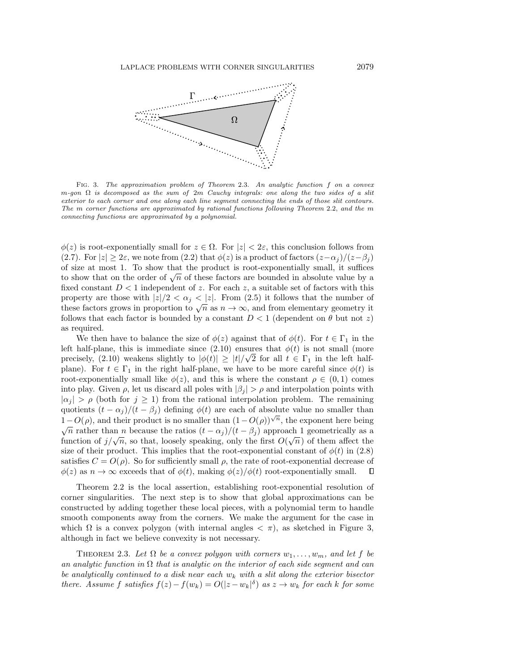<span id="page-5-1"></span>

Fig. 3. The approximation problem of Theorem [2.3.](#page-5-0) An analytic function f on a convex m-gon  $\Omega$  is decomposed as the sum of 2m Cauchy integrals: one along the two sides of a slit exterior to each corner and one along each line segment connecting the ends of those slit contours. The m corner functions are approximated by rational functions following Theorem [2.2,](#page-3-1) and the m connecting functions are approximated by a polynomial.

 $\phi(z)$  is root-exponentially small for  $z \in \Omega$ . For  $|z| < 2\varepsilon$ , this conclusion follows from [\(2.7\)](#page-3-4). For  $|z| \geq 2\varepsilon$ , we note from [\(2.2\)](#page-2-1) that  $\phi(z)$  is a product of factors  $(z-\alpha_i)/(z-\beta_i)$ of size at most 1. To show that the product is root-exponentially small, it suffices to show that on the order of  $\sqrt{n}$  of these factors are bounded in absolute value by a fixed constant  $D < 1$  independent of z. For each z, a suitable set of factors with this property are those with  $|z|/2 < \alpha_i < |z|$ . From [\(2.5\)](#page-3-2) it follows that the number of property are those with  $|z|/2 \le \alpha_j \le |z|$ . From (2.5) it follows that the number of these factors grows in proportion to  $\sqrt{n}$  as  $n \to \infty$ , and from elementary geometry it follows that each factor is bounded by a constant  $D < 1$  (dependent on  $\theta$  but not z) as required.

We then have to balance the size of  $\phi(z)$  against that of  $\phi(t)$ . For  $t \in \Gamma_1$  in the left half-plane, this is immediate since  $(2.10)$  ensures that  $\phi(t)$  is not small (more precisely, [\(2.10\)](#page-4-2) weakens slightly to  $|\phi(t)| \ge |t|/\sqrt{2}$  for all  $t \in \Gamma_1$  in the left halfplane). For  $t \in \Gamma_1$  in the right half-plane, we have to be more careful since  $\phi(t)$  is root-exponentially small like  $\phi(z)$ , and this is where the constant  $\rho \in (0,1)$  comes into play. Given  $\rho$ , let us discard all poles with  $|\beta_i| > \rho$  and interpolation points with  $|\alpha_i| > \rho$  (both for  $j \ge 1$ ) from the rational interpolation problem. The remaining quotients  $(t - \alpha_j)/(t - \beta_j)$  defining  $\phi(t)$  are each of absolute value no smaller than  $1-O(\rho)$ , and their product is no smaller than  $(1-O(\rho))^{\sqrt{n}}$ , the exponent here being  $\overline{n}$  rather than *n* because the ratios  $(t - \alpha_j)/(t - \beta_j)$  approach 1 geometrically as a  $\sqrt{n}$  factor of  $j/\sqrt{n}$ , so that, loosely speaking, only the first  $O(\sqrt{n})$  of them affect the function of  $j/\sqrt{n}$ , so that, loosely speaking, only the first  $O(\sqrt{n})$  of them affect the size of their product. This implies that the root-exponential constant of  $\phi(t)$  in [\(2.8\)](#page-3-5) satisfies  $C = O(\rho)$ . So for sufficiently small  $\rho$ , the rate of root-exponential decrease of  $\phi(z)$  as  $n \to \infty$  exceeds that of  $\phi(t)$ , making  $\phi(z)/\phi(t)$  root-exponentially small.  $\Box$ 

Theorem [2.2](#page-3-1) is the local assertion, establishing root-exponential resolution of corner singularities. The next step is to show that global approximations can be constructed by adding together these local pieces, with a polynomial term to handle smooth components away from the corners. We make the argument for the case in which  $\Omega$  is a convex polygon (with internal angles  $\langle \pi \rangle$ , as sketched in Figure [3,](#page-5-1) although in fact we believe convexity is not necessary.

<span id="page-5-0"></span>THEOREM 2.3. Let  $\Omega$  be a convex polygon with corners  $w_1, \ldots, w_m$ , and let f be an analytic function in  $\Omega$  that is analytic on the interior of each side segment and can be analytically continued to a disk near each  $w_k$  with a slit along the exterior bisector there. Assume f satisfies  $f(z) - f(w_k) = O(|z - w_k|^{\delta})$  as  $z \to w_k$  for each k for some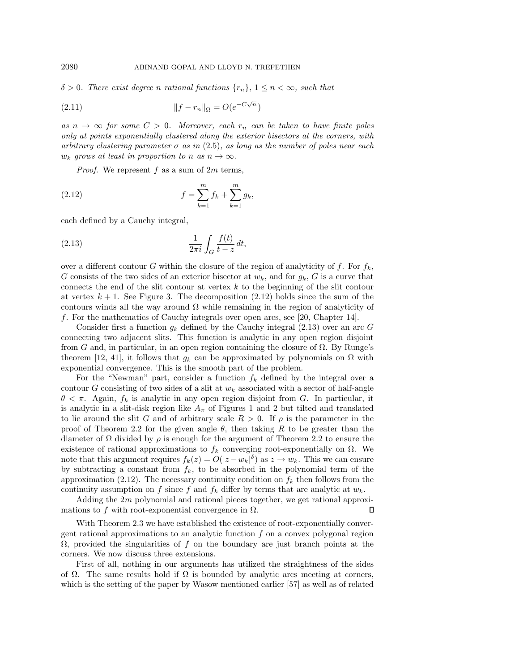$\delta > 0$ . There exist degree n rational functions  $\{r_n\}$ ,  $1 \leq n < \infty$ , such that

(2.11) 
$$
||f - r_n||_{\Omega} = O(e^{-C\sqrt{n}})
$$

as  $n \to \infty$  for some  $C > 0$ . Moreover, each  $r_n$  can be taken to have finite poles only at points exponentially clustered along the exterior bisectors at the corners, with arbitrary clustering parameter  $\sigma$  as in (2.[5\)](#page-3-2), as long as the number of poles near each  $w_k$  grows at least in proportion to n as  $n \to \infty$ .

<span id="page-6-0"></span>*Proof.* We represent f as a sum of  $2m$  terms,

(2.12) 
$$
f = \sum_{k=1}^{m} f_k + \sum_{k=1}^{m} g_k,
$$

each defined by a Cauchy integral,

<span id="page-6-1"></span>
$$
\frac{1}{2\pi i} \int_G \frac{f(t)}{t - z} dt,
$$

over a different contour G within the closure of the region of analyticity of f. For  $f_k$ , G consists of the two sides of an exterior bisector at  $w_k$ , and for  $g_k$ , G is a curve that connects the end of the slit contour at vertex  $k$  to the beginning of the slit contour at vertex  $k + 1$ . See Figure [3.](#page-5-1) The decomposition [\(2.12\)](#page-6-0) holds since the sum of the contours winds all the way around  $\Omega$  while remaining in the region of analyticity of f. For the mathematics of Cauchy integrals over open arcs, see [\[20,](#page-19-9) Chapter 14].

Consider first a function  $g_k$  defined by the Cauchy integral [\(2.13\)](#page-6-1) over an arc G connecting two adjacent slits. This function is analytic in any open region disjoint from G and, in particular, in an open region containing the closure of  $\Omega$ . By Runge's theorem [\[12,](#page-19-4) [41\]](#page-20-3), it follows that  $g_k$  can be approximated by polynomials on  $\Omega$  with exponential convergence. This is the smooth part of the problem.

For the "Newman" part, consider a function  $f_k$  defined by the integral over a contour G consisting of two sides of a slit at  $w_k$  associated with a sector of half-angle  $\theta < \pi$ . Again,  $f_k$  is analytic in any open region disjoint from G. In particular, it is analytic in a slit-disk region like  $A_{\pi}$  of Figures [1](#page-3-0) and [2](#page-4-1) but tilted and translated to lie around the slit G and of arbitrary scale  $R > 0$ . If  $\rho$  is the parameter in the proof of Theorem [2.2](#page-3-1) for the given angle  $\theta$ , then taking R to be greater than the diameter of  $\Omega$  divided by  $\rho$  is enough for the argument of Theorem [2.2](#page-3-1) to ensure the existence of rational approximations to  $f_k$  converging root-exponentially on  $\Omega$ . We note that this argument requires  $f_k(z) = O(|z - w_k|^{\delta})$  as  $z \to w_k$ . This we can ensure by subtracting a constant from  $f_k$ , to be absorbed in the polynomial term of the approximation [\(2.12\)](#page-6-0). The necessary continuity condition on  $f_k$  then follows from the continuity assumption on f since f and  $f_k$  differ by terms that are analytic at  $w_k$ .

Adding the  $2m$  polynomial and rational pieces together, we get rational approximations to f with root-exponential convergence in  $\Omega$ . П

With Theorem [2.3](#page-5-0) we have established the existence of root-exponentially convergent rational approximations to an analytic function  $f$  on a convex polygonal region  $\Omega$ , provided the singularities of f on the boundary are just branch points at the corners. We now discuss three extensions.

First of all, nothing in our arguments has utilized the straightness of the sides of  $\Omega$ . The same results hold if  $\Omega$  is bounded by analytic arcs meeting at corners, which is the setting of the paper by Wasow mentioned earlier [\[57\]](#page-20-9) as well as of related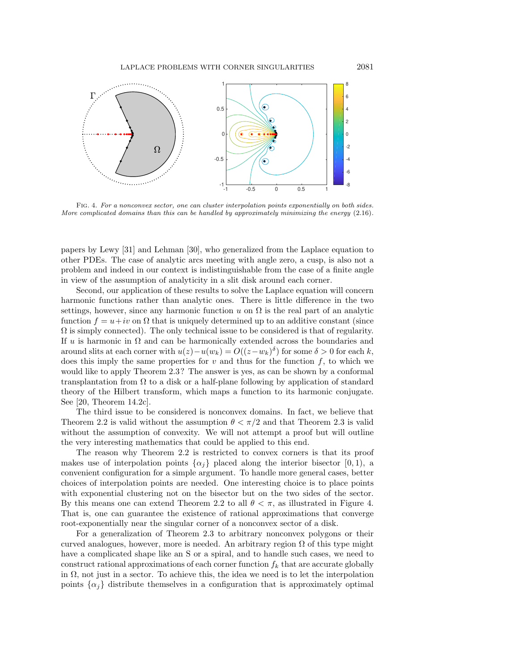<span id="page-7-0"></span>

Fig. 4. For a nonconvex sector, one can cluster interpolation points exponentially on both sides. More complicated domains than this can be handled by approximately minimizing the energy  $(2.16)$ .

papers by Lewy [\[31\]](#page-19-10) and Lehman [\[30\]](#page-19-8), who generalized from the Laplace equation to other PDEs. The case of analytic arcs meeting with angle zero, a cusp, is also not a problem and indeed in our context is indistinguishable from the case of a finite angle in view of the assumption of analyticity in a slit disk around each corner.

Second, our application of these results to solve the Laplace equation will concern harmonic functions rather than analytic ones. There is little difference in the two settings, however, since any harmonic function u on  $\Omega$  is the real part of an analytic function  $f = u+iv$  on  $\Omega$  that is uniquely determined up to an additive constant (since  $\Omega$  is simply connected). The only technical issue to be considered is that of regularity. If u is harmonic in  $\Omega$  and can be harmonically extended across the boundaries and around slits at each corner with  $u(z) - u(w_k) = O((z - w_k)^{\delta})$  for some  $\delta > 0$  for each k, does this imply the same properties for  $v$  and thus for the function  $f$ , to which we would like to apply Theorem [2.3?](#page-5-0) The answer is yes, as can be shown by a conformal transplantation from  $\Omega$  to a disk or a half-plane following by application of standard theory of the Hilbert transform, which maps a function to its harmonic conjugate. See [\[20,](#page-19-9) Theorem 14.2c].

The third issue to be considered is nonconvex domains. In fact, we believe that Theorem [2.2](#page-3-1) is valid without the assumption  $\theta < \pi/2$  and that Theorem [2.3](#page-5-0) is valid without the assumption of convexity. We will not attempt a proof but will outline the very interesting mathematics that could be applied to this end.

The reason why Theorem [2.2](#page-3-1) is restricted to convex corners is that its proof makes use of interpolation points  $\{\alpha_i\}$  placed along the interior bisector [0, 1), a convenient configuration for a simple argument. To handle more general cases, better choices of interpolation points are needed. One interesting choice is to place points with exponential clustering not on the bisector but on the two sides of the sector. By this means one can extend Theorem [2.2](#page-3-1) to all  $\theta < \pi$ , as illustrated in Figure [4.](#page-7-0) That is, one can guarantee the existence of rational approximations that converge root-exponentially near the singular corner of a nonconvex sector of a disk.

For a generalization of Theorem [2.3](#page-5-0) to arbitrary nonconvex polygons or their curved analogues, however, more is needed. An arbitrary region  $\Omega$  of this type might have a complicated shape like an S or a spiral, and to handle such cases, we need to construct rational approximations of each corner function  $f_k$  that are accurate globally in  $\Omega$ , not just in a sector. To achieve this, the idea we need is to let the interpolation points  $\{\alpha_i\}$  distribute themselves in a configuration that is approximately optimal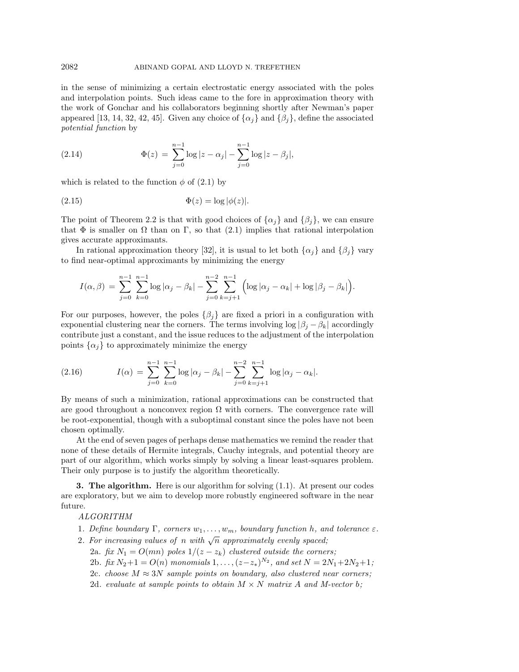in the sense of minimizing a certain electrostatic energy associated with the poles and interpolation points. Such ideas came to the fore in approximation theory with the work of Gonchar and his collaborators beginning shortly after Newman's paper appeared [\[13,](#page-19-1) [14,](#page-19-11) [32,](#page-19-7) [42,](#page-20-10) [45\]](#page-20-0). Given any choice of  $\{\alpha_i\}$  and  $\{\beta_i\}$ , define the associated potential function by

(2.14) 
$$
\Phi(z) = \sum_{j=0}^{n-1} \log |z - \alpha_j| - \sum_{j=0}^{n-1} \log |z - \beta_j|,
$$

which is related to the function  $\phi$  of [\(2.1\)](#page-2-0) by

$$
(2.15) \t\t\t \Phi(z) = \log |\phi(z)|.
$$

The point of Theorem [2.2](#page-3-1) is that with good choices of  $\{\alpha_i\}$  and  $\{\beta_i\}$ , we can ensure that  $\Phi$  is smaller on  $\Omega$  than on  $\Gamma$ , so that [\(2.1\)](#page-2-0) implies that rational interpolation gives accurate approximants.

In rational approximation theory [\[32\]](#page-19-7), it is usual to let both  $\{\alpha_i\}$  and  $\{\beta_i\}$  vary to find near-optimal approximants by minimizing the energy

$$
I(\alpha, \beta) = \sum_{j=0}^{n-1} \sum_{k=0}^{n-1} \log |\alpha_j - \beta_k| - \sum_{j=0}^{n-2} \sum_{k=j+1}^{n-1} \left( \log |\alpha_j - \alpha_k| + \log |\beta_j - \beta_k| \right).
$$

For our purposes, however, the poles  $\{\beta_i\}$  are fixed a priori in a configuration with exponential clustering near the corners. The terms involving  $\log |\beta_i - \beta_k|$  accordingly contribute just a constant, and the issue reduces to the adjustment of the interpolation points  $\{\alpha_i\}$  to approximately minimize the energy

<span id="page-8-1"></span>(2.16) 
$$
I(\alpha) = \sum_{j=0}^{n-1} \sum_{k=0}^{n-1} \log |\alpha_j - \beta_k| - \sum_{j=0}^{n-2} \sum_{k=j+1}^{n-1} \log |\alpha_j - \alpha_k|.
$$

By means of such a minimization, rational approximations can be constructed that are good throughout a nonconvex region  $\Omega$  with corners. The convergence rate will be root-exponential, though with a suboptimal constant since the poles have not been chosen optimally.

At the end of seven pages of perhaps dense mathematics we remind the reader that none of these details of Hermite integrals, Cauchy integrals, and potential theory are part of our algorithm, which works simply by solving a linear least-squares problem. Their only purpose is to justify the algorithm theoretically.

<span id="page-8-0"></span>**3. The algorithm.** Here is our algorithm for solving  $(1.1)$ . At present our codes are exploratory, but we aim to develop more robustly engineered software in the near future.

## ALGORITHM

- 1. Define boundary  $\Gamma$ , corners  $w_1, \ldots, w_m$ , boundary function h, and tolerance  $\varepsilon$ .
- 2. For increasing values of n with  $\sqrt{n}$  approximately evenly spaced;
	- 2a. fix  $N_1 = O(mn)$  poles  $1/(z z_k)$  clustered outside the corners;
	- 2b. fix  $N_2+1=O(n)$  monomials  $1,\ldots,(z-z_*)^{N_2}$ , and set  $N=2N_1+2N_2+1$ ;
	- 2c. choose  $M \approx 3N$  sample points on boundary, also clustered near corners;
	- 2d. evaluate at sample points to obtain  $M \times N$  matrix A and M-vector b;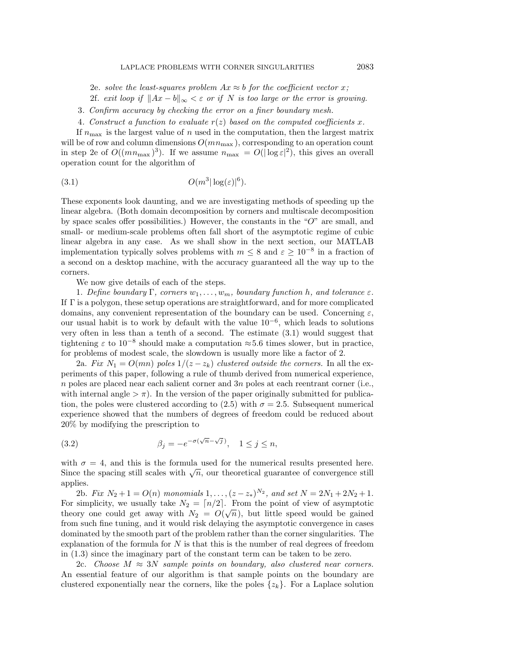- 2e. solve the least-squares problem  $Ax \approx b$  for the coefficient vector x;
- 2f. exit loop if  $||Ax b||_{\infty} < \varepsilon$  or if N is too large or the error is growing.
- 3. Confirm accuracy by checking the error on a finer boundary mesh.
- <span id="page-9-0"></span>4. Construct a function to evaluate  $r(z)$  based on the computed coefficients x.

If  $n_{\text{max}}$  is the largest value of n used in the computation, then the largest matrix will be of row and column dimensions  $O(mn_{\text{max}})$ , corresponding to an operation count in step 2e of  $O((mn_{\text{max}})^3)$ . If we assume  $n_{\text{max}} = O(|\log \varepsilon|^2)$ , this gives an overall operation count for the algorithm of

$$
(3.1) \t\t\t O(m^3|\log(\varepsilon)|^6).
$$

These exponents look daunting, and we are investigating methods of speeding up the linear algebra. (Both domain decomposition by corners and multiscale decomposition by space scales offer possibilities.) However, the constants in the " $O$ " are small, and small- or medium-scale problems often fall short of the asymptotic regime of cubic linear algebra in any case. As we shall show in the next section, our MATLAB implementation typically solves problems with  $m \leq 8$  and  $\varepsilon \geq 10^{-8}$  in a fraction of a second on a desktop machine, with the accuracy guaranteed all the way up to the corners.

We now give details of each of the steps.

1. Define boundary  $\Gamma$ , corners  $w_1, \ldots, w_m$ , boundary function h, and tolerance  $\varepsilon$ . If Γ is a polygon, these setup operations are straightforward, and for more complicated domains, any convenient representation of the boundary can be used. Concerning  $\varepsilon$ , our usual habit is to work by default with the value 10<sup>−</sup><sup>6</sup> , which leads to solutions very often in less than a tenth of a second. The estimate [\(3.1\)](#page-9-0) would suggest that tightening  $\varepsilon$  to 10<sup>-8</sup> should make a computation  $\approx$  5.6 times slower, but in practice, for problems of modest scale, the slowdown is usually more like a factor of 2.

2a. Fix  $N_1 = O(mn)$  poles  $1/(z - z_k)$  clustered outside the corners. In all the experiments of this paper, following a rule of thumb derived from numerical experience, n poles are placed near each salient corner and  $3n$  poles at each reentrant corner (i.e., with internal angle  $>\pi$ ). In the version of the paper originally submitted for publica-tion, the poles were clustered according to [\(2.5\)](#page-3-2) with  $\sigma = 2.5$ . Subsequent numerical experience showed that the numbers of degrees of freedom could be reduced about 20% by modifying the prescription to

(3.2) 
$$
\beta_j = -e^{-\sigma(\sqrt{n}-\sqrt{j})}, \quad 1 \le j \le n,
$$

with  $\sigma = 4$ , and this is the formula used for the numerical results presented here. with  $\sigma = 4$ , and this is the formula used for the numerical results presented here.<br>Since the spacing still scales with  $\sqrt{n}$ , our theoretical guarantee of convergence still applies.

2b. Fix  $N_2 + 1 = O(n)$  monomials  $1, \ldots, (z - z_*)^{N_2}$ , and set  $N = 2N_1 + 2N_2 + 1$ . For simplicity, we usually take  $N_2 = \lfloor n/2 \rfloor$ . From the point of view of asymptotic theory one could get away with  $N_2 = O(\sqrt{n})$ , but little speed would be gained from such fine tuning, and it would risk delaying the asymptotic convergence in cases dominated by the smooth part of the problem rather than the corner singularities. The explanation of the formula for  $N$  is that this is the number of real degrees of freedom in [\(1.3\)](#page-1-0) since the imaginary part of the constant term can be taken to be zero.

2c. Choose  $M \approx 3N$  sample points on boundary, also clustered near corners. An essential feature of our algorithm is that sample points on the boundary are clustered exponentially near the corners, like the poles  $\{z_k\}$ . For a Laplace solution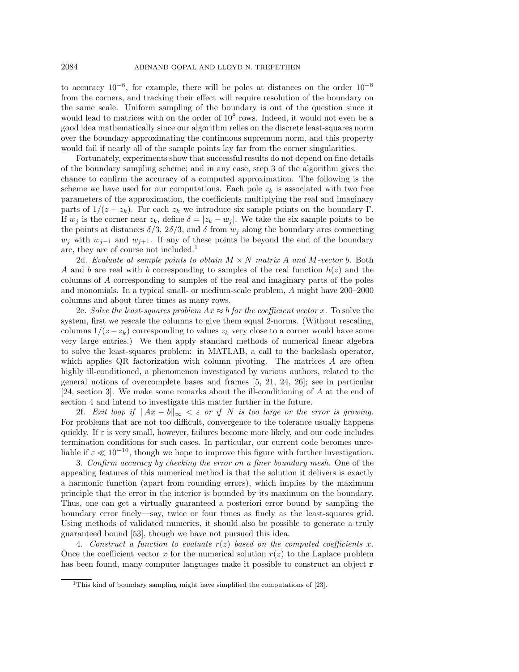to accuracy  $10^{-8}$ , for example, there will be poles at distances on the order  $10^{-8}$ from the corners, and tracking their effect will require resolution of the boundary on the same scale. Uniform sampling of the boundary is out of the question since it would lead to matrices with on the order of  $10^8$  rows. Indeed, it would not even be a good idea mathematically since our algorithm relies on the discrete least-squares norm over the boundary approximating the continuous supremum norm, and this property would fail if nearly all of the sample points lay far from the corner singularities.

Fortunately, experiments show that successful results do not depend on fine details of the boundary sampling scheme; and in any case, step 3 of the algorithm gives the chance to confirm the accuracy of a computed approximation. The following is the scheme we have used for our computations. Each pole  $z_k$  is associated with two free parameters of the approximation, the coefficients multiplying the real and imaginary parts of  $1/(z - z_k)$ . For each  $z_k$  we introduce six sample points on the boundary Γ. If  $w_j$  is the corner near  $z_k$ , define  $\delta = |z_k - w_j|$ . We take the six sample points to be the points at distances  $\delta/3$ ,  $2\delta/3$ , and  $\delta$  from  $w_i$  along the boundary arcs connecting  $w_j$  with  $w_{j-1}$  and  $w_{j+1}$ . If any of these points lie beyond the end of the boundary arc, they are of course not included.<sup>[1](#page-10-0)</sup>

2d. Evaluate at sample points to obtain  $M \times N$  matrix A and M-vector b. Both A and b are real with b corresponding to samples of the real function  $h(z)$  and the columns of A corresponding to samples of the real and imaginary parts of the poles and monomials. In a typical small- or medium-scale problem, A might have 200–2000 columns and about three times as many rows.

2e. Solve the least-squares problem  $Ax \approx b$  for the coefficient vector x. To solve the system, first we rescale the columns to give them equal 2-norms. (Without rescaling, columns  $1/(z - z_k)$  corresponding to values  $z_k$  very close to a corner would have some very large entries.) We then apply standard methods of numerical linear algebra to solve the least-squares problem: in MATLAB, a call to the backslash operator, which applies QR factorization with column pivoting. The matrices A are often highly ill-conditioned, a phenomenon investigated by various authors, related to the general notions of overcomplete bases and frames [\[5,](#page-18-1) [21,](#page-19-12) [24,](#page-19-13) [26\]](#page-19-14); see in particular [\[24,](#page-19-13) section 3]. We make some remarks about the ill-conditioning of A at the end of section [4](#page-11-0) and intend to investigate this matter further in the future.

2f. Exit loop if  $||Ax - b||_{\infty} < \varepsilon$  or if N is too large or the error is growing. For problems that are not too difficult, convergence to the tolerance usually happens quickly. If  $\varepsilon$  is very small, however, failures become more likely, and our code includes termination conditions for such cases. In particular, our current code becomes unreliable if  $\varepsilon \ll 10^{-10}$ , though we hope to improve this figure with further investigation.

3. Confirm accuracy by checking the error on a finer boundary mesh. One of the appealing features of this numerical method is that the solution it delivers is exactly a harmonic function (apart from rounding errors), which implies by the maximum principle that the error in the interior is bounded by its maximum on the boundary. Thus, one can get a virtually guaranteed a posteriori error bound by sampling the boundary error finely—say, twice or four times as finely as the least-squares grid. Using methods of validated numerics, it should also be possible to generate a truly guaranteed bound [\[53\]](#page-20-11), though we have not pursued this idea.

4. Construct a function to evaluate  $r(z)$  based on the computed coefficients x. Once the coefficient vector x for the numerical solution  $r(z)$  to the Laplace problem has been found, many computer languages make it possible to construct an object r

<span id="page-10-0"></span><sup>&</sup>lt;sup>1</sup>This kind of boundary sampling might have simplified the computations of [\[23\]](#page-19-2).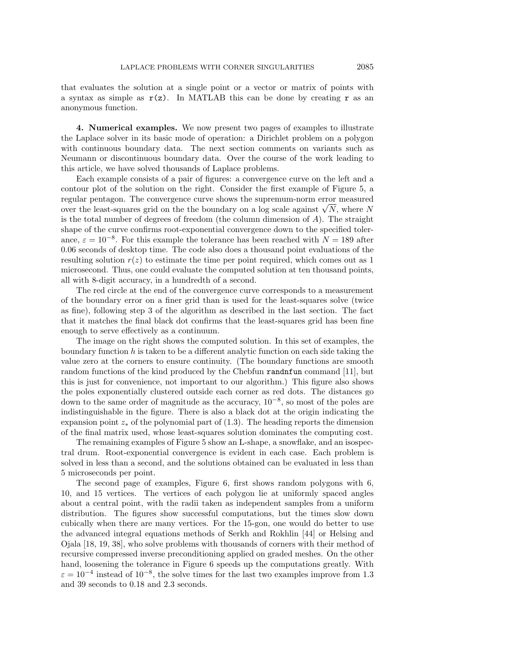that evaluates the solution at a single point or a vector or matrix of points with a syntax as simple as  $r(z)$ . In MATLAB this can be done by creating r as an anonymous function.

<span id="page-11-0"></span>4. Numerical examples. We now present two pages of examples to illustrate the Laplace solver in its basic mode of operation: a Dirichlet problem on a polygon with continuous boundary data. The next section comments on variants such as Neumann or discontinuous boundary data. Over the course of the work leading to this article, we have solved thousands of Laplace problems.

Each example consists of a pair of figures: a convergence curve on the left and a contour plot of the solution on the right. Consider the first example of Figure [5,](#page-12-0) a regular pentagon. The convergence curve shows the supremum-norm error measured regular pentagon. The convergence curve shows the supremum-norm error measured<br>over the least-squares grid on the the boundary on a log scale against  $\sqrt{N}$ , where N is the total number of degrees of freedom (the column dimension of  $A$ ). The straight shape of the curve confirms root-exponential convergence down to the specified tolerance,  $\varepsilon = 10^{-8}$ . For this example the tolerance has been reached with  $N = 189$  after 0.06 seconds of desktop time. The code also does a thousand point evaluations of the resulting solution  $r(z)$  to estimate the time per point required, which comes out as 1 microsecond. Thus, one could evaluate the computed solution at ten thousand points, all with 8-digit accuracy, in a hundredth of a second.

The red circle at the end of the convergence curve corresponds to a measurement of the boundary error on a finer grid than is used for the least-squares solve (twice as fine), following step 3 of the algorithm as described in the last section. The fact that it matches the final black dot confirms that the least-squares grid has been fine enough to serve effectively as a continuum.

The image on the right shows the computed solution. In this set of examples, the boundary function  $h$  is taken to be a different analytic function on each side taking the value zero at the corners to ensure continuity. (The boundary functions are smooth random functions of the kind produced by the Chebfun randnfun command [\[11\]](#page-19-15), but this is just for convenience, not important to our algorithm.) This figure also shows the poles exponentially clustered outside each corner as red dots. The distances go down to the same order of magnitude as the accuracy, 10<sup>−</sup><sup>8</sup> , so most of the poles are indistinguishable in the figure. There is also a black dot at the origin indicating the expansion point  $z_*$  of the polynomial part of [\(1.3\)](#page-1-0). The heading reports the dimension of the final matrix used, whose least-squares solution dominates the computing cost.

The remaining examples of Figure [5](#page-12-0) show an L-shape, a snowflake, and an isospectral drum. Root-exponential convergence is evident in each case. Each problem is solved in less than a second, and the solutions obtained can be evaluated in less than 5 microseconds per point.

The second page of examples, Figure [6,](#page-13-0) first shows random polygons with 6, 10, and 15 vertices. The vertices of each polygon lie at uniformly spaced angles about a central point, with the radii taken as independent samples from a uniform distribution. The figures show successful computations, but the times slow down cubically when there are many vertices. For the 15-gon, one would do better to use the advanced integral equations methods of Serkh and Rokhlin [\[44\]](#page-20-12) or Helsing and Ojala [\[18,](#page-19-16) [19,](#page-19-17) [38\]](#page-19-18), who solve problems with thousands of corners with their method of recursive compressed inverse preconditioning applied on graded meshes. On the other hand, loosening the tolerance in Figure [6](#page-13-0) speeds up the computations greatly. With  $\varepsilon = 10^{-4}$  instead of  $10^{-8}$ , the solve times for the last two examples improve from 1.3 and 39 seconds to 0.18 and 2.3 seconds.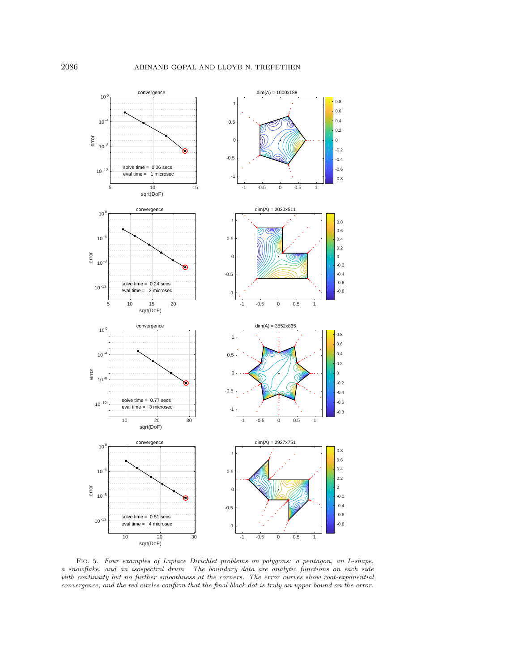<span id="page-12-0"></span>

Fig. 5. Four examples of Laplace Dirichlet problems on polygons: a pentagon, an L-shape, a snowflake, and an isospectral drum. The boundary data are analytic functions on each side with continuity but no further smoothness at the corners. The error curves show root-exponential convergence, and the red circles confirm that the final black dot is truly an upper bound on the error.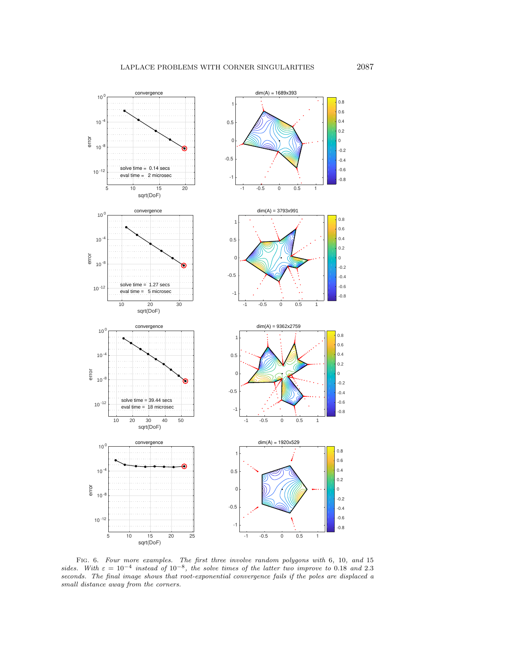<span id="page-13-0"></span>

FIG. 6. Four more examples. The first three involve random polygons with 6, 10, and 15 sides. With  $\varepsilon = 10^{-4}$  instead of  $10^{-8}$ , the solve times of the latter two improve to 0.18 and 2.3 seconds. The final image shows that root-exponential convergence fails if the poles are displaced a small distance away from the corners.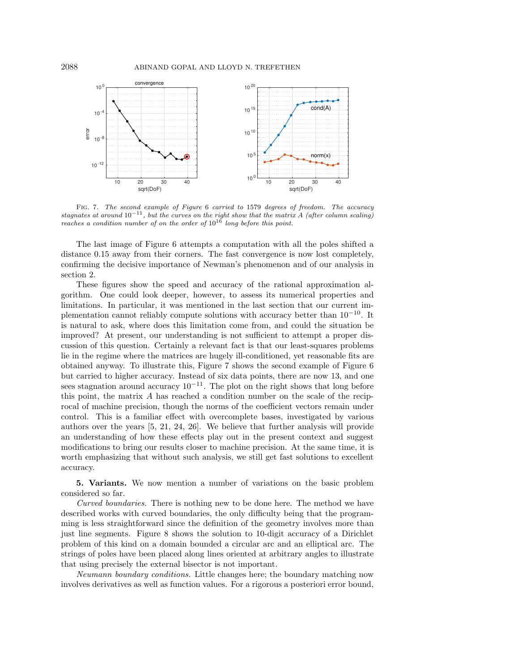<span id="page-14-1"></span>

FIG. 7. The second example of Figure [6](#page-13-0) carried to 1579 degrees of freedom. The accuracy stagnates at around  $10^{-11}$ , but the curves on the right show that the matrix A (after column scaling) reaches a condition number of on the order of  $10^{16}$  long before this point.

The last image of Figure [6](#page-13-0) attempts a computation with all the poles shifted a distance 0.15 away from their corners. The fast convergence is now lost completely, confirming the decisive importance of Newman's phenomenon and of our analysis in section [2.](#page-1-1)

These figures show the speed and accuracy of the rational approximation algorithm. One could look deeper, however, to assess its numerical properties and limitations. In particular, it was mentioned in the last section that our current implementation cannot reliably compute solutions with accuracy better than  $10^{-10}$ . It is natural to ask, where does this limitation come from, and could the situation be improved? At present, our understanding is not sufficient to attempt a proper discussion of this question. Certainly a relevant fact is that our least-squares problems lie in the regime where the matrices are hugely ill-conditioned, yet reasonable fits are obtained anyway. To illustrate this, Figure [7](#page-14-1) shows the second example of Figure [6](#page-13-0) but carried to higher accuracy. Instead of six data points, there are now 13, and one sees stagnation around accuracy  $10^{-11}$ . The plot on the right shows that long before this point, the matrix A has reached a condition number on the scale of the reciprocal of machine precision, though the norms of the coefficient vectors remain under control. This is a familiar effect with overcomplete bases, investigated by various authors over the years [\[5,](#page-18-1) [21,](#page-19-12) [24,](#page-19-13) [26\]](#page-19-14). We believe that further analysis will provide an understanding of how these effects play out in the present context and suggest modifications to bring our results closer to machine precision. At the same time, it is worth emphasizing that without such analysis, we still get fast solutions to excellent accuracy.

<span id="page-14-0"></span>5. Variants. We now mention a number of variations on the basic problem considered so far.

Curved boundaries. There is nothing new to be done here. The method we have described works with curved boundaries, the only difficulty being that the programming is less straightforward since the definition of the geometry involves more than just line segments. Figure [8](#page-15-0) shows the solution to 10-digit accuracy of a Dirichlet problem of this kind on a domain bounded a circular arc and an elliptical arc. The strings of poles have been placed along lines oriented at arbitrary angles to illustrate that using precisely the external bisector is not important.

Neumann boundary conditions. Little changes here; the boundary matching now involves derivatives as well as function values. For a rigorous a posteriori error bound,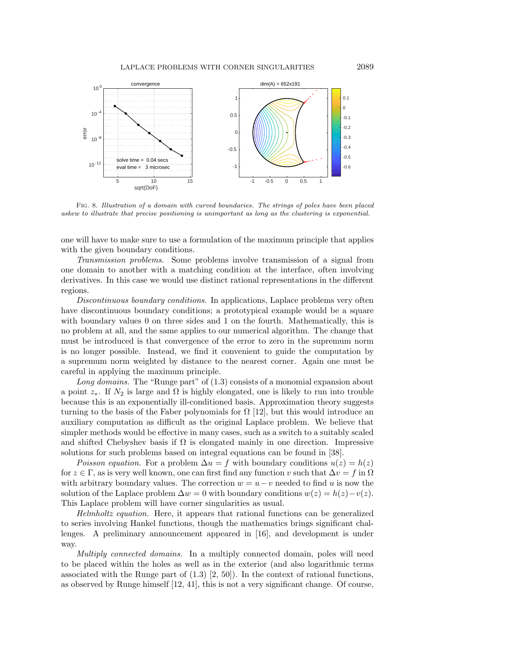<span id="page-15-0"></span>

Fig. 8. Illustration of a domain with curved boundaries. The strings of poles have been placed askew to illustrate that precise positioning is unimportant as long as the clustering is exponential.

one will have to make sure to use a formulation of the maximum principle that applies with the given boundary conditions.

Transmission problems. Some problems involve transmission of a signal from one domain to another with a matching condition at the interface, often involving derivatives. In this case we would use distinct rational representations in the different regions.

Discontinuous boundary conditions. In applications, Laplace problems very often have discontinuous boundary conditions; a prototypical example would be a square with boundary values 0 on three sides and 1 on the fourth. Mathematically, this is no problem at all, and the same applies to our numerical algorithm. The change that must be introduced is that convergence of the error to zero in the supremum norm is no longer possible. Instead, we find it convenient to guide the computation by a supremum norm weighted by distance to the nearest corner. Again one must be careful in applying the maximum principle.

Long domains. The "Runge part" of  $(1.3)$  consists of a monomial expansion about a point  $z_*$ . If  $N_2$  is large and  $\Omega$  is highly elongated, one is likely to run into trouble because this is an exponentially ill-conditioned basis. Approximation theory suggests turning to the basis of the Faber polynomials for  $\Omega$  [\[12\]](#page-19-4), but this would introduce an auxiliary computation as difficult as the original Laplace problem. We believe that simpler methods would be effective in many cases, such as a switch to a suitably scaled and shifted Chebyshev basis if  $\Omega$  is elongated mainly in one direction. Impressive solutions for such problems based on integral equations can be found in [\[38\]](#page-19-18).

Poisson equation. For a problem  $\Delta u = f$  with boundary conditions  $u(z) = h(z)$ for  $z \in \Gamma$ , as is very well known, one can first find any function v such that  $\Delta v = f$  in  $\Omega$ with arbitrary boundary values. The correction  $w = u - v$  needed to find u is now the solution of the Laplace problem  $\Delta w = 0$  with boundary conditions  $w(z) = h(z) - v(z)$ . This Laplace problem will have corner singularities as usual.

Helmholtz equation. Here, it appears that rational functions can be generalized to series involving Hankel functions, though the mathematics brings significant challenges. A preliminary announcement appeared in [\[16\]](#page-19-6), and development is under way.

Multiply connected domains. In a multiply connected domain, poles will need to be placed within the holes as well as in the exterior (and also logarithmic terms associated with the Runge part of  $(1.3)$  [\[2,](#page-18-2) [50\]](#page-20-4)). In the context of rational functions, as observed by Runge himself [\[12,](#page-19-4) [41\]](#page-20-3), this is not a very significant change. Of course,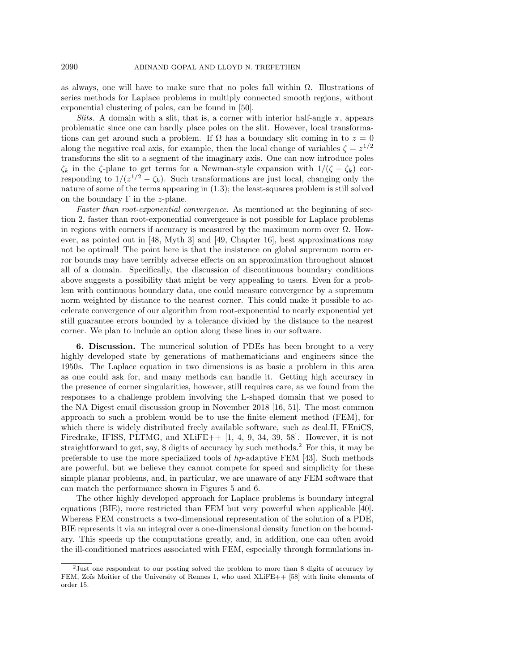as always, one will have to make sure that no poles fall within  $\Omega$ . Illustrations of series methods for Laplace problems in multiply connected smooth regions, without exponential clustering of poles, can be found in [\[50\]](#page-20-4).

*Slits.* A domain with a slit, that is, a corner with interior half-angle  $\pi$ , appears problematic since one can hardly place poles on the slit. However, local transformations can get around such a problem. If  $\Omega$  has a boundary slit coming in to  $z = 0$ along the negative real axis, for example, then the local change of variables  $\zeta = z^{1/2}$ transforms the slit to a segment of the imaginary axis. One can now introduce poles  $\zeta_k$  in the  $\zeta$ -plane to get terms for a Newman-style expansion with  $1/(\zeta - \zeta_k)$  corresponding to  $1/(z^{1/2} - \zeta_k)$ . Such transformations are just local, changing only the nature of some of the terms appearing in [\(1.3\)](#page-1-0); the least-squares problem is still solved on the boundary  $\Gamma$  in the *z*-plane.

Faster than root-exponential convergence. As mentioned at the beginning of section [2,](#page-1-1) faster than root-exponential convergence is not possible for Laplace problems in regions with corners if accuracy is measured by the maximum norm over  $\Omega$ . However, as pointed out in [\[48,](#page-20-13) Myth 3] and [\[49,](#page-20-2) Chapter 16], best approximations may not be optimal! The point here is that the insistence on global supremum norm error bounds may have terribly adverse effects on an approximation throughout almost all of a domain. Specifically, the discussion of discontinuous boundary conditions above suggests a possibility that might be very appealing to users. Even for a problem with continuous boundary data, one could measure convergence by a supremum norm weighted by distance to the nearest corner. This could make it possible to accelerate convergence of our algorithm from root-exponential to nearly exponential yet still guarantee errors bounded by a tolerance divided by the distance to the nearest corner. We plan to include an option along these lines in our software.

6. Discussion. The numerical solution of PDEs has been brought to a very highly developed state by generations of mathematicians and engineers since the 1950s. The Laplace equation in two dimensions is as basic a problem in this area as one could ask for, and many methods can handle it. Getting high accuracy in the presence of corner singularities, however, still requires care, as we found from the responses to a challenge problem involving the L-shaped domain that we posed to the NA Digest email discussion group in November 2018 [\[16,](#page-19-6) [51\]](#page-20-14). The most common approach to such a problem would be to use the finite element method (FEM), for which there is widely distributed freely available software, such as deal.II, FEniCS, Firedrake, IFISS, PLTMG, and  $XLiFE++$  [\[1,](#page-18-3) [4,](#page-18-4) [9,](#page-18-5) [34,](#page-19-19) [39,](#page-20-15) [58\]](#page-20-16). However, it is not straightforward to get, say,  $8$  digits of accuracy by such methods.<sup>[2](#page-16-0)</sup> For this, it may be preferable to use the more specialized tools of hp-adaptive FEM [\[43\]](#page-20-17). Such methods are powerful, but we believe they cannot compete for speed and simplicity for these simple planar problems, and, in particular, we are unaware of any FEM software that can match the performance shown in Figures [5](#page-12-0) and [6.](#page-13-0)

The other highly developed approach for Laplace problems is boundary integral equations (BIE), more restricted than FEM but very powerful when applicable [\[40\]](#page-20-18). Whereas FEM constructs a two-dimensional representation of the solution of a PDE, BIE represents it via an integral over a one-dimensional density function on the boundary. This speeds up the computations greatly, and, in addition, one can often avoid the ill-conditioned matrices associated with FEM, especially through formulations in-

<span id="page-16-0"></span><sup>2</sup>Just one respondent to our posting solved the problem to more than 8 digits of accuracy by FEM, Zoïs Moitier of the University of Rennes 1, who used XLiFE++ [\[58\]](#page-20-16) with finite elements of order 15.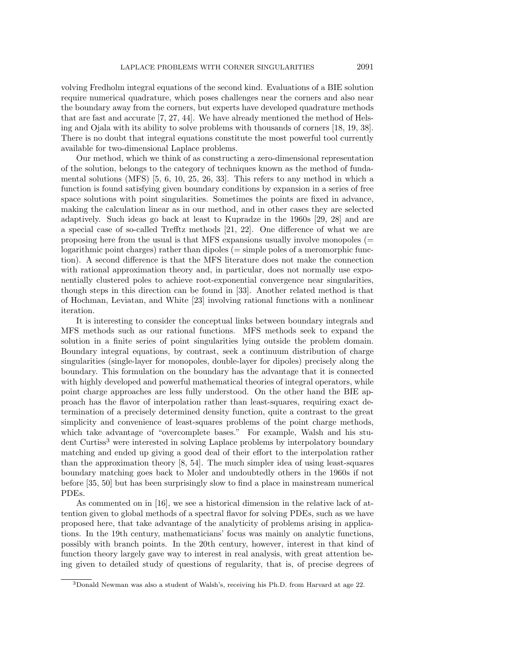volving Fredholm integral equations of the second kind. Evaluations of a BIE solution require numerical quadrature, which poses challenges near the corners and also near the boundary away from the corners, but experts have developed quadrature methods that are fast and accurate [\[7,](#page-18-6) [27,](#page-19-20) [44\]](#page-20-12). We have already mentioned the method of Helsing and Ojala with its ability to solve problems with thousands of corners [\[18,](#page-19-16) [19,](#page-19-17) [38\]](#page-19-18). There is no doubt that integral equations constitute the most powerful tool currently available for two-dimensional Laplace problems.

Our method, which we think of as constructing a zero-dimensional representation of the solution, belongs to the category of techniques known as the method of fundamental solutions (MFS) [\[5,](#page-18-1) [6,](#page-18-7) [10,](#page-19-21) [25,](#page-19-22) [26,](#page-19-14) [33\]](#page-19-23). This refers to any method in which a function is found satisfying given boundary conditions by expansion in a series of free space solutions with point singularities. Sometimes the points are fixed in advance, making the calculation linear as in our method, and in other cases they are selected adaptively. Such ideas go back at least to Kupradze in the 1960s [\[29,](#page-19-24) [28\]](#page-19-25) and are a special case of so-called Trefftz methods [\[21,](#page-19-12) [22\]](#page-19-26). One difference of what we are proposing here from the usual is that MFS expansions usually involve monopoles  $(=$ logarithmic point charges) rather than dipoles (= simple poles of a meromorphic function). A second difference is that the MFS literature does not make the connection with rational approximation theory and, in particular, does not normally use exponentially clustered poles to achieve root-exponential convergence near singularities, though steps in this direction can be found in [\[33\]](#page-19-23). Another related method is that of Hochman, Leviatan, and White [\[23\]](#page-19-2) involving rational functions with a nonlinear iteration.

It is interesting to consider the conceptual links between boundary integrals and MFS methods such as our rational functions. MFS methods seek to expand the solution in a finite series of point singularities lying outside the problem domain. Boundary integral equations, by contrast, seek a continuum distribution of charge singularities (single-layer for monopoles, double-layer for dipoles) precisely along the boundary. This formulation on the boundary has the advantage that it is connected with highly developed and powerful mathematical theories of integral operators, while point charge approaches are less fully understood. On the other hand the BIE approach has the flavor of interpolation rather than least-squares, requiring exact determination of a precisely determined density function, quite a contrast to the great simplicity and convenience of least-squares problems of the point charge methods, which take advantage of "overcomplete bases." For example, Walsh and his student Curtiss[3](#page-17-0) were interested in solving Laplace problems by interpolatory boundary matching and ended up giving a good deal of their effort to the interpolation rather than the approximation theory [\[8,](#page-18-8) [54\]](#page-20-19). The much simpler idea of using least-squares boundary matching goes back to Moler and undoubtedly others in the 1960s if not before [\[35,](#page-19-27) [50\]](#page-20-4) but has been surprisingly slow to find a place in mainstream numerical PDEs.

As commented on in [\[16\]](#page-19-6), we see a historical dimension in the relative lack of attention given to global methods of a spectral flavor for solving PDEs, such as we have proposed here, that take advantage of the analyticity of problems arising in applications. In the 19th century, mathematicians' focus was mainly on analytic functions, possibly with branch points. In the 20th century, however, interest in that kind of function theory largely gave way to interest in real analysis, with great attention being given to detailed study of questions of regularity, that is, of precise degrees of

<span id="page-17-0"></span><sup>3</sup>Donald Newman was also a student of Walsh's, receiving his Ph.D. from Harvard at age 22.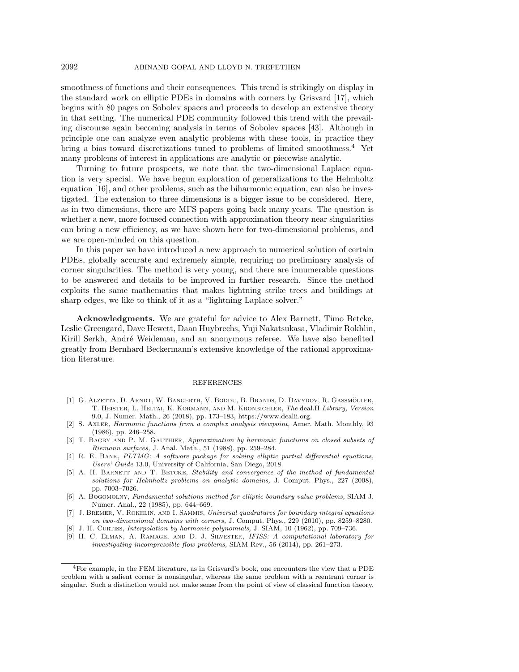smoothness of functions and their consequences. This trend is strikingly on display in the standard work on elliptic PDEs in domains with corners by Grisvard [\[17\]](#page-19-28), which begins with 80 pages on Sobolev spaces and proceeds to develop an extensive theory in that setting. The numerical PDE community followed this trend with the prevailing discourse again becoming analysis in terms of Sobolev spaces [\[43\]](#page-20-17). Although in principle one can analyze even analytic problems with these tools, in practice they bring a bias toward discretizations tuned to problems of limited smoothness.[4](#page-18-9) Yet many problems of interest in applications are analytic or piecewise analytic.

Turning to future prospects, we note that the two-dimensional Laplace equation is very special. We have begun exploration of generalizations to the Helmholtz equation [\[16\]](#page-19-6), and other problems, such as the biharmonic equation, can also be investigated. The extension to three dimensions is a bigger issue to be considered. Here, as in two dimensions, there are MFS papers going back many years. The question is whether a new, more focused connection with approximation theory near singularities can bring a new efficiency, as we have shown here for two-dimensional problems, and we are open-minded on this question.

In this paper we have introduced a new approach to numerical solution of certain PDEs, globally accurate and extremely simple, requiring no preliminary analysis of corner singularities. The method is very young, and there are innumerable questions to be answered and details to be improved in further research. Since the method exploits the same mathematics that makes lightning strike trees and buildings at sharp edges, we like to think of it as a "lightning Laplace solver."

Acknowledgments. We are grateful for advice to Alex Barnett, Timo Betcke, Leslie Greengard, Dave Hewett, Daan Huybrechs, Yuji Nakatsukasa, Vladimir Rokhlin, Kirill Serkh, André Weideman, and an anonymous referee. We have also benefited greatly from Bernhard Beckermann's extensive knowledge of the rational approximation literature.

## REFERENCES

- <span id="page-18-3"></span>[1] G. Alzetta, D. Arndt, W. Bangerth, V. Boddu, B. Brands, D. Davydov, R. Gassmoller, ¨ T. Heister, L. Heltai, K. Kormann, and M. Kronbichler, The deal.II Library, Version 9.0, J. Numer. Math., 26 (2018), pp. 173–183, [https://www.dealii.org.](https://www.dealii.org)
- <span id="page-18-2"></span>[2] S. Axler, Harmonic functions from a complex analysis viewpoint, Amer. Math. Monthly, 93 (1986), pp. 246–258.
- <span id="page-18-0"></span>[3] T. BAGBY AND P. M. GAUTHIER, Approximation by harmonic functions on closed subsets of Riemann surfaces, J. Anal. Math., 51 (1988), pp. 259–284.
- <span id="page-18-4"></span>[4] R. E. Bank, PLTMG: A software package for solving elliptic partial differential equations, Users' Guide 13.0, University of California, San Diego, 2018.
- <span id="page-18-1"></span>[5] A. H. BARNETT AND T. BETCKE, Stability and convergence of the method of fundamental solutions for Helmholtz problems on analytic domains, J. Comput. Phys., 227 (2008), pp. 7003–7026.
- <span id="page-18-7"></span>[6] A. Bogomolny, Fundamental solutions method for elliptic boundary value problems, SIAM J. Numer. Anal., 22 (1985), pp. 644–669.
- <span id="page-18-6"></span>[7] J. BREMER, V. ROKHLIN, AND I. SAMMIS, Universal quadratures for boundary integral equations on two-dimensional domains with corners, J. Comput. Phys., 229 (2010), pp. 8259–8280.
- <span id="page-18-8"></span>[8] J. H. Curriss, *Interpolation by harmonic polynomials*, J. SIAM, 10 (1962), pp. 709–736.
- <span id="page-18-5"></span>[9] H. C. Elman, A. Ramage, and D. J. Silvester, IFISS: A computational laboratory for investigating incompressible flow problems, SIAM Rev., 56 (2014), pp. 261–273.

<span id="page-18-9"></span><sup>4</sup>For example, in the FEM literature, as in Grisvard's book, one encounters the view that a PDE problem with a salient corner is nonsingular, whereas the same problem with a reentrant corner is singular. Such a distinction would not make sense from the point of view of classical function theory.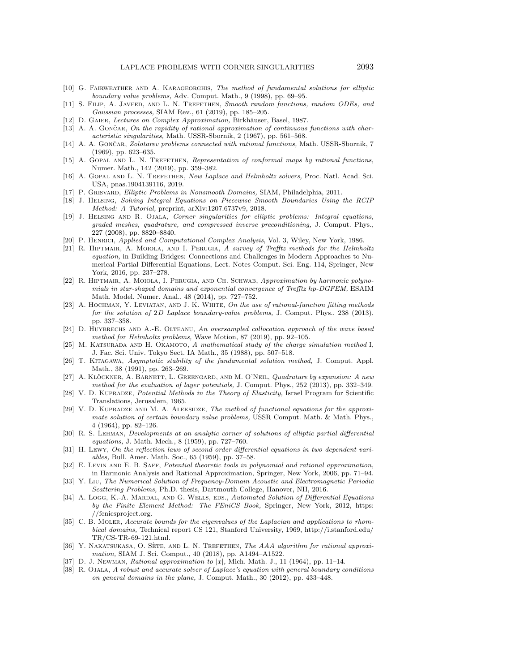- <span id="page-19-21"></span>[10] G. FAIRWEATHER AND A. KARAGEORGHIS, The method of fundamental solutions for elliptic boundary value problems, Adv. Comput. Math., 9 (1998), pp. 69–95.
- <span id="page-19-15"></span>[11] S. FILIP, A. JAVEED, AND L. N. TREFETHEN, Smooth random functions, random ODEs, and Gaussian processes, SIAM Rev., 61 (2019), pp. 185–205.
- <span id="page-19-4"></span>[12] D. GAIER, Lectures on Complex Approximation, Birkhäuser, Basel, 1987.
- <span id="page-19-1"></span>[13] A. A. GONČAR, On the rapidity of rational approximation of continuous functions with characteristic singularities, Math. USSR-Sbornik, 2 (1967), pp. 561–568.
- <span id="page-19-11"></span>[14] A. A. GONČAR, Zolotarev problems connected with rational functions, Math. USSR-Sbornik, 7 (1969), pp. 623–635.
- <span id="page-19-5"></span>[15] A. GOPAL AND L. N. TREFETHEN, Representation of conformal maps by rational functions, Numer. Math., 142 (2019), pp. 359–382.
- <span id="page-19-6"></span>[16] A. GOPAL AND L. N. TREFETHEN, New Laplace and Helmholtz solvers, Proc. Natl. Acad. Sci. USA, pnas.1904139116, 2019.
- <span id="page-19-28"></span>[17] P. Grisvard, Elliptic Problems in Nonsmooth Domains, SIAM, Philadelphia, 2011.
- <span id="page-19-16"></span>[18] J. Helsing, Solving Integral Equations on Piecewise Smooth Boundaries Using the RCIP Method: A Tutorial, preprint, arXiv:1207.6737v9, 2018.
- <span id="page-19-17"></span>[19] J. Helsing and R. Ojala, Corner singularities for elliptic problems: Integral equations, graded meshes, quadrature, and compressed inverse preconditioning, J. Comput. Phys., 227 (2008), pp. 8820–8840.
- <span id="page-19-9"></span>[20] P. Henrici, Applied and Computational Complex Analysis, Vol. 3, Wiley, New York, 1986.
- <span id="page-19-12"></span>[21] R. HIPTMAIR, A. MOIOLA, AND I. PERUGIA, A survey of Trefftz methods for the Helmholtz equation, in Building Bridges: Connections and Challenges in Modern Approaches to Numerical Partial Differential Equations, Lect. Notes Comput. Sci. Eng. 114, Springer, New York, 2016, pp. 237–278.
- <span id="page-19-26"></span>[22] R. Hiptmair, A. Moiola, I. Perugia, and Ch. Schwab, Approximation by harmonic polynomials in star-shaped domains and exponential convergence of Trefftz hp-DGFEM, ESAIM Math. Model. Numer. Anal., 48 (2014), pp. 727–752.
- <span id="page-19-2"></span>[23] A. HOCHMAN, Y. LEVIATAN, AND J. K. WHITE, On the use of rational-function fitting methods for the solution of 2D Laplace boundary-value problems, J. Comput. Phys., 238 (2013), pp. 337–358.
- <span id="page-19-13"></span>[24] D. HUYBRECHS AND A.-E. OLTEANU, An oversampled collocation approach of the wave based method for Helmholtz problems, Wave Motion, 87 (2019), pp. 92–105.
- <span id="page-19-22"></span>[25] M. KATSURADA AND H. OKAMOTO, A mathematical study of the charge simulation method I, J. Fac. Sci. Univ. Tokyo Sect. IA Math., 35 (1988), pp. 507–518.
- <span id="page-19-14"></span>[26] T. Kitagawa, Asymptotic stability of the fundamental solution method, J. Comput. Appl. Math., 38 (1991), pp. 263–269.
- <span id="page-19-20"></span>[27] A. KLÖCKNER, A. BARNETT, L. GREENGARD, AND M. O'NEIL, Quadrature by expansion: A new method for the evaluation of layer potentials, J. Comput. Phys., 252 (2013), pp. 332–349.
- <span id="page-19-25"></span>[28] V. D. KUPRADZE, Potential Methods in the Theory of Elasticity, Israel Program for Scientific Translations, Jerusalem, 1965.
- <span id="page-19-24"></span>[29] V. D. KUPRADZE AND M. A. ALEKSIDZE, The method of functional equations for the approximate solution of certain boundary value problems, USSR Comput. Math. & Math. Phys., 4 (1964), pp. 82–126.
- <span id="page-19-8"></span>[30] R. S. Lehman, Developments at an analytic corner of solutions of elliptic partial differential equations, J. Math. Mech., 8 (1959), pp. 727–760.
- <span id="page-19-10"></span>[31] H. Lewy, On the reflection laws of second order differential equations in two dependent variables, Bull. Amer. Math. Soc., 65 (1959), pp. 37–58.
- <span id="page-19-7"></span>[32] E. LEVIN AND E. B. SAFF, Potential theoretic tools in polynomial and rational approximation, in Harmonic Analysis and Rational Approximation, Springer, New York, 2006, pp. 71–94.
- <span id="page-19-23"></span>[33] Y. Liu, The Numerical Solution of Frequency-Domain Acoustic and Electromagnetic Periodic Scattering Problems, Ph.D. thesis, Dartmouth College, Hanover, NH, 2016.
- <span id="page-19-19"></span>[34] A. Logg, K.-A. MARDAL, AND G. WELLS, EDS., Automated Solution of Differential Equations by the Finite Element Method: The FEniCS Book, Springer, New York, 2012, [https:](https://fenicsproject.org) [//fenicsproject.org.](https://fenicsproject.org)
- <span id="page-19-27"></span>[35] C. B. MoLER, Accurate bounds for the eigenvalues of the Laplacian and applications to rhombical domains, Technical report CS 121, Stanford University, 1969, [http://i.stanford.edu/](http://i.stanford.edu/TR/CS-TR-69-121.html) [TR/CS-TR-69-121.html.](http://i.stanford.edu/TR/CS-TR-69-121.html)
- <span id="page-19-3"></span>[36] Y. NAKATSUKASA, O. SÈTE, AND L. N. TREFETHEN, The AAA algorithm for rational approximation, SIAM J. Sci. Comput., 40 (2018), pp. A1494–A1522.
- <span id="page-19-0"></span>[37] D. J. Newman, Rational approximation to  $|x|$ , Mich. Math. J., 11 (1964), pp. 11–14.
- <span id="page-19-18"></span>[38] R. OJALA, A robust and accurate solver of Laplace's equation with general boundary conditions on general domains in the plane, J. Comput. Math., 30 (2012), pp. 433–448.